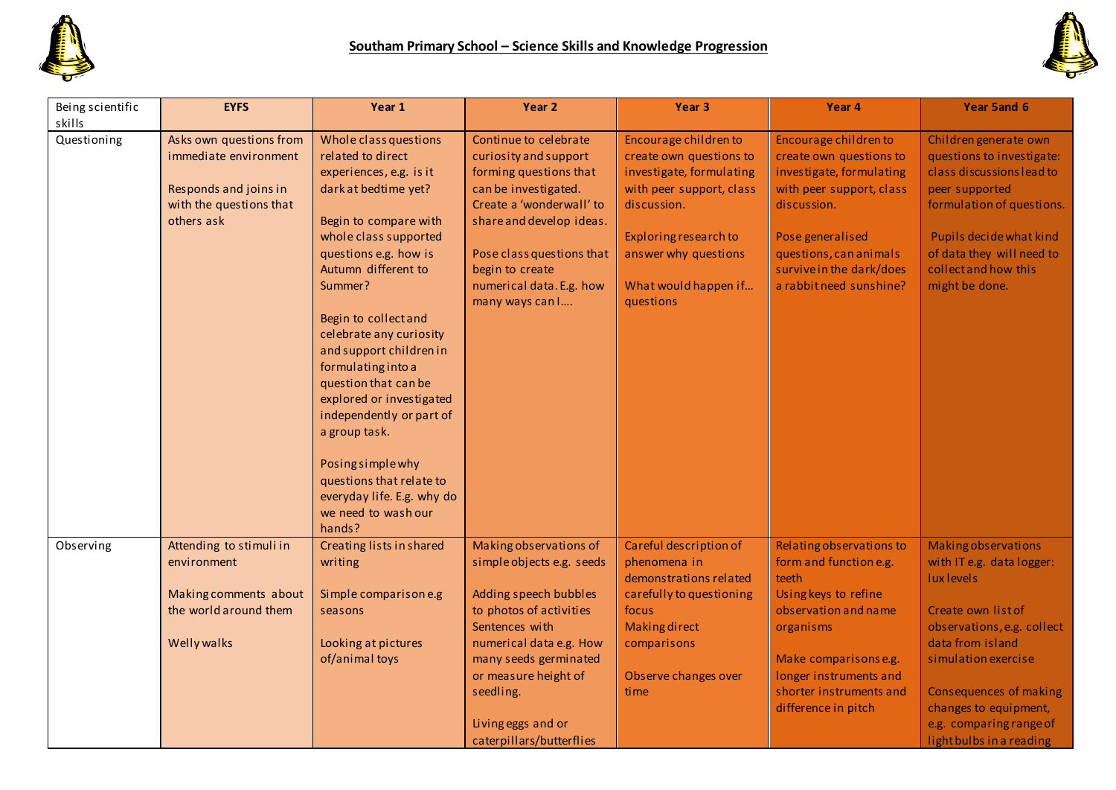



| Being scientific<br>skills | <b>EYFS</b>                                                                                                        | Year 1                                                                                                                                                                                                                                                                                                                                                                                                                                                                                                                          | Year <sub>2</sub>                                                                                                                                                                                                                                       | Year <sub>3</sub>                                                                                                                                                                                             | Year 4                                                                                                                                                                                                                        | Year 5and 6                                                                                                                                                                                                                      |
|----------------------------|--------------------------------------------------------------------------------------------------------------------|---------------------------------------------------------------------------------------------------------------------------------------------------------------------------------------------------------------------------------------------------------------------------------------------------------------------------------------------------------------------------------------------------------------------------------------------------------------------------------------------------------------------------------|---------------------------------------------------------------------------------------------------------------------------------------------------------------------------------------------------------------------------------------------------------|---------------------------------------------------------------------------------------------------------------------------------------------------------------------------------------------------------------|-------------------------------------------------------------------------------------------------------------------------------------------------------------------------------------------------------------------------------|----------------------------------------------------------------------------------------------------------------------------------------------------------------------------------------------------------------------------------|
| Questioning                | Asks own questions from<br>immediate environment<br>Responds and joins in<br>with the questions that<br>others ask | Whole class questions<br>related to direct<br>experiences, e.g. is it<br>dark at bedtime yet?<br>Begin to compare with<br>whole class supported<br>questions e.g. how is<br>Autumn different to<br>Summer?<br>Begin to collect and<br>celebrate any curiosity<br>and support children in<br>formulating into a<br>question that can be<br>explored or investigated<br>independently or part of<br>a group task.<br>Posing simple why<br>questions that relate to<br>everyday life. E.g. why do<br>we need to wash our<br>hands? | Continue to celebrate<br>curiosity and support<br>forming questions that<br>can be investigated.<br>Create a 'wonderwall' to<br>share and develop ideas.<br>Pose class questions that<br>begin to create<br>numerical data. E.g. how<br>many ways can I | Encourage children to<br>create own questions to<br>investigate, formulating<br>with peer support, class<br>discussion.<br>Exploring research to<br>answer why questions<br>What would happen if<br>questions | Encourage children to<br>create own questions to<br>investigate, formulating<br>with peer support, class<br>discussion.<br>Pose generalised<br>questions, can animals<br>survive in the dark/does<br>a rabbit need sunshine?  | Children generate own<br>questions to investigate:<br>class discussions lead to<br>peer supported<br>formulation of questions.<br>Pupils decide what kind<br>of data they will need to<br>collect and how this<br>might be done. |
| Observing                  | Attending to stimuli in<br>environment<br>Making comments about<br>the world around them<br><b>Welly walks</b>     | Creating lists in shared<br>writing<br>Simple comparison e.g<br>seasons<br>Looking at pictures<br>of/animal toys                                                                                                                                                                                                                                                                                                                                                                                                                | Making observations of<br>simple objects e.g. seeds<br>Adding speech bubbles<br>to photos of activities<br>Sentences with<br>numerical data e.g. How<br>many seeds germinated<br>or measure height of<br>seedling.                                      | Careful description of<br>phenomena in<br>demonstrations related<br>carefully to questioning<br>focus<br><b>Making direct</b><br>comparisons<br>Observe changes over<br>time                                  | Relating observations to<br>form and function e.g.<br>teeth<br>Using keys to refine<br>observation and name<br>organisms<br>Make comparisons e.g.<br>longer instruments and<br>shorter instruments and<br>difference in pitch | Making observations<br>with IT e.g. data logger:<br>lux levels<br>Create own list of<br>observations, e.g. collect<br>data from island<br>simulation exercise<br>Consequences of making<br>changes to equipment,                 |
|                            |                                                                                                                    |                                                                                                                                                                                                                                                                                                                                                                                                                                                                                                                                 | Living eggs and or<br>caterpillars/butterflies                                                                                                                                                                                                          |                                                                                                                                                                                                               |                                                                                                                                                                                                                               | e.g. comparing range of<br>light bulbs in a reading                                                                                                                                                                              |